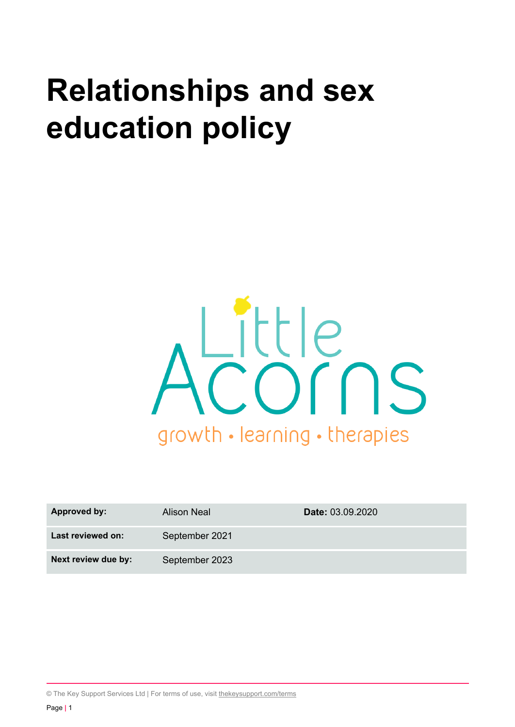# **Relationships and sex education policy**



| <b>Approved by:</b> | <b>Alison Neal</b> | <b>Date: 03.09.2020</b> |
|---------------------|--------------------|-------------------------|
| Last reviewed on:   | September 2021     |                         |
| Next review due by: | September 2023     |                         |

© The Key Support Services Ltd | For terms of use, visit [thekeysupport.com/terms](https://thekeysupport.com/terms-of-use)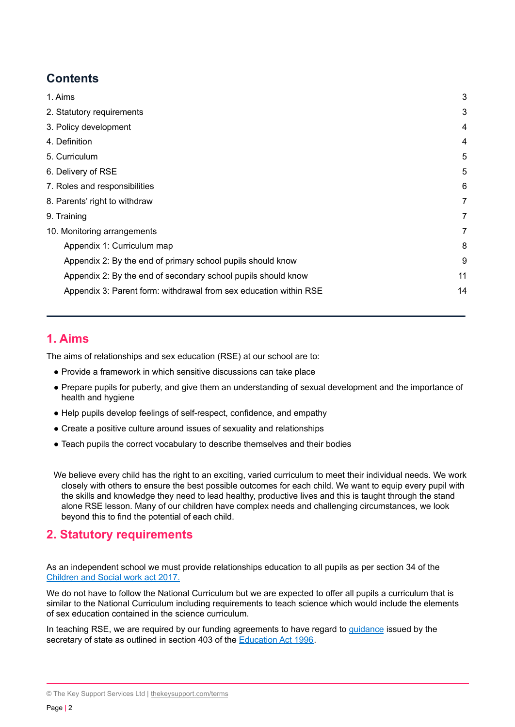# **Contents**

| 1. Aims                                                           | 3  |
|-------------------------------------------------------------------|----|
| 2. Statutory requirements                                         | 3  |
| 3. Policy development                                             | 4  |
| 4. Definition                                                     | 4  |
| 5. Curriculum                                                     | 5  |
| 6. Delivery of RSE                                                | 5  |
| 7. Roles and responsibilities                                     | 6  |
| 8. Parents' right to withdraw                                     | 7  |
| 9. Training                                                       | 7  |
| 10. Monitoring arrangements                                       | 7  |
| Appendix 1: Curriculum map                                        | 8  |
| Appendix 2: By the end of primary school pupils should know       | 9  |
| Appendix 2: By the end of secondary school pupils should know     | 11 |
| Appendix 3: Parent form: withdrawal from sex education within RSE | 14 |
|                                                                   |    |

## <span id="page-1-0"></span>**1. Aims**

The aims of relationships and sex education (RSE) at our school are to:

- Provide a framework in which sensitive discussions can take place
- Prepare pupils for puberty, and give them an understanding of sexual development and the importance of health and hygiene
- Help pupils develop feelings of self-respect, confidence, and empathy
- Create a positive culture around issues of sexuality and relationships
- Teach pupils the correct vocabulary to describe themselves and their bodies

We believe every child has the right to an exciting, varied curriculum to meet their individual needs. We work closely with others to ensure the best possible outcomes for each child. We want to equip every pupil with the skills and knowledge they need to lead healthy, productive lives and this is taught through the stand alone RSE lesson. Many of our children have complex needs and challenging circumstances, we look beyond this to find the potential of each child.

## <span id="page-1-1"></span>**2. Statutory requirements**

As an independent school we must provide relationships education to all pupils as per section 34 of the [Children](http://www.legislation.gov.uk/ukpga/2017/16/section/34/enacted) and Social work act 2017.

We do not have to follow the National Curriculum but we are expected to offer all pupils a curriculum that is similar to the National Curriculum including requirements to teach science which would include the elements of sex education contained in the science curriculum.

In teaching RSE, we are required by our funding agreements to have regard to quidance issued by the secretary of state as outlined in section 403 of the [Education](http://www.legislation.gov.uk/ukpga/1996/56/contents) Act 1996.

<sup>©</sup> The Key Support Services Ltd | [thekeysupport.com/terms](https://thekeysupport.com/terms-of-use)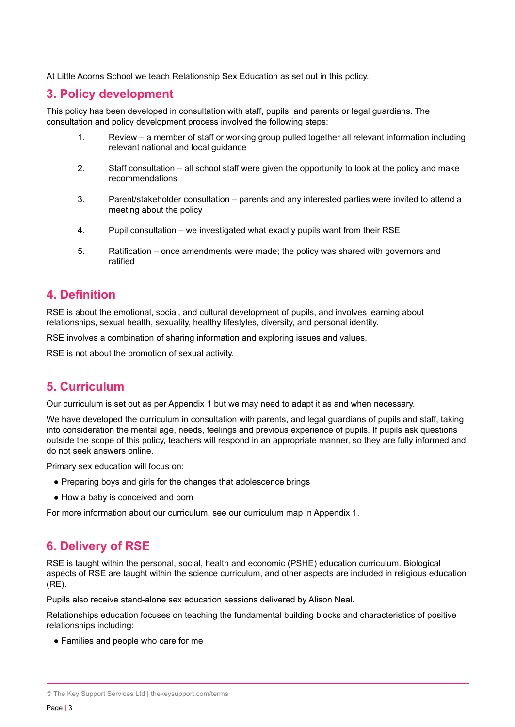<span id="page-2-0"></span>At Little Acorns School we teach Relationship Sex Education as set out in this policy.

## **3. Policy development**

This policy has been developed in consultation with staff, pupils, and parents or legal guardians. The consultation and policy development process involved the following steps:

- 1. Review a member of staff or working group pulled together all relevant information including relevant national and local guidance
- 2. Staff consultation all school staff were given the opportunity to look at the policy and make recommendations
- 3. Parent/stakeholder consultation parents and any interested parties were invited to attend a meeting about the policy
- 4. Pupil consultation we investigated what exactly pupils want from their RSE
- 5. Ratification once amendments were made; the policy was shared with governors and ratified

## **4. Definition**

RSE is about the emotional, social, and cultural development of pupils, and involves learning about relationships, sexual health, sexuality, healthy lifestyles, diversity, and personal identity.

RSE involves a combination of sharing information and exploring issues and values.

<span id="page-2-1"></span>RSE is not about the promotion of sexual activity.

## **5. Curriculum**

Our curriculum is set out as per Appendix 1 but we may need to adapt it as and when necessary.

We have developed the curriculum in consultation with parents, and legal guardians of pupils and staff, taking into consideration the mental age, needs, feelings and previous experience of pupils. If pupils ask questions outside the scope of this policy, teachers will respond in an appropriate manner, so they are fully informed and do not seek answers online.

Primary sex education will focus on:

- Preparing boys and girls for the changes that adolescence brings
- How a baby is conceived and born

<span id="page-2-2"></span>For more information about our curriculum, see our curriculum map in Appendix 1.

## **6. Delivery of RSE**

RSE is taught within the personal, social, health and economic (PSHE) education curriculum. Biological aspects of RSE are taught within the science curriculum, and other aspects are included in religious education (RE).

Pupils also receive stand-alone sex education sessions delivered by Alison Neal.

Relationships education focuses on teaching the fundamental building blocks and characteristics of positive relationships including:

● Families and people who care for me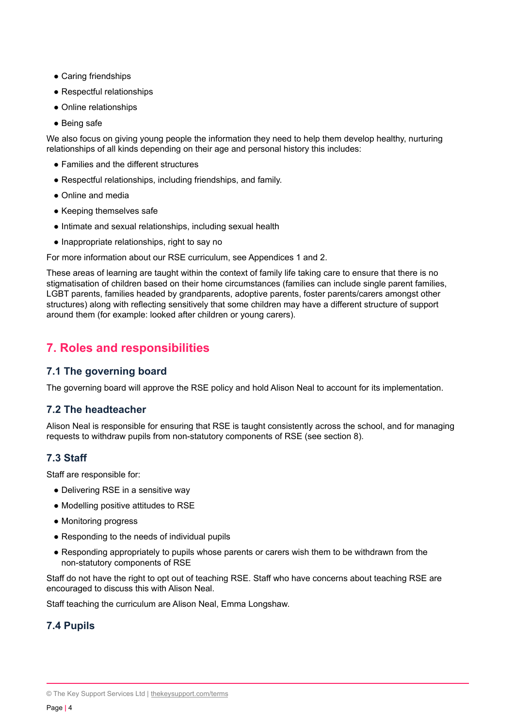- Caring friendships
- Respectful relationships
- Online relationships
- Being safe

We also focus on giving young people the information they need to help them develop healthy, nurturing relationships of all kinds depending on their age and personal history this includes:

- Families and the different structures
- Respectful relationships, including friendships, and family.
- Online and media
- Keeping themselves safe
- Intimate and sexual relationships, including sexual health
- Inappropriate relationships, right to say no

For more information about our RSE curriculum, see Appendices 1 and 2.

These areas of learning are taught within the context of family life taking care to ensure that there is no stigmatisation of children based on their home circumstances (families can include single parent families, LGBT parents, families headed by grandparents, adoptive parents, foster parents/carers amongst other structures) along with reflecting sensitively that some children may have a different structure of support around them (for example: looked after children or young carers).

## <span id="page-3-0"></span>**7. Roles and responsibilities**

#### **7.1 The governing board**

The governing board will approve the RSE policy and hold Alison Neal to account for its implementation.

#### **7.2 The headteacher**

Alison Neal is responsible for ensuring that RSE is taught consistently across the school, and for managing requests to withdraw pupils from non-statutory components of RSE (see section 8).

#### **7.3 Staff**

Staff are responsible for:

- Delivering RSE in a sensitive way
- Modelling positive attitudes to RSE
- Monitoring progress
- Responding to the needs of individual pupils
- Responding appropriately to pupils whose parents or carers wish them to be withdrawn from the non-statutory components of RSE

Staff do not have the right to opt out of teaching RSE. Staff who have concerns about teaching RSE are encouraged to discuss this with Alison Neal.

Staff teaching the curriculum are Alison Neal, Emma Longshaw.

#### **7.4 Pupils**

<sup>©</sup> The Key Support Services Ltd | [thekeysupport.com/terms](https://thekeysupport.com/terms-of-use)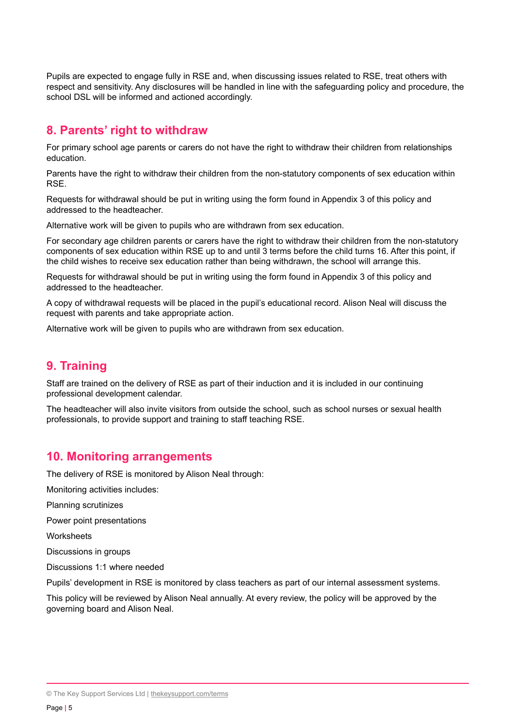Pupils are expected to engage fully in RSE and, when discussing issues related to RSE, treat others with respect and sensitivity. Any disclosures will be handled in line with the safeguarding policy and procedure, the school DSL will be informed and actioned accordingly.

## <span id="page-4-0"></span>**8. Parents' right to withdraw**

For primary school age parents or carers do not have the right to withdraw their children from relationships education.

Parents have the right to withdraw their children from the non-statutory components of sex education within RSE.

Requests for withdrawal should be put in writing using the form found in Appendix 3 of this policy and addressed to the headteacher.

Alternative work will be given to pupils who are withdrawn from sex education.

For secondary age children parents or carers have the right to withdraw their children from the non-statutory components of sex education within RSE up to and until 3 terms before the child turns 16. After this point, if the child wishes to receive sex education rather than being withdrawn, the school will arrange this.

Requests for withdrawal should be put in writing using the form found in Appendix 3 of this policy and addressed to the headteacher.

A copy of withdrawal requests will be placed in the pupil's educational record. Alison Neal will discuss the request with parents and take appropriate action.

<span id="page-4-1"></span>Alternative work will be given to pupils who are withdrawn from sex education.

## **9. Training**

Staff are trained on the delivery of RSE as part of their induction and it is included in our continuing professional development calendar.

The headteacher will also invite visitors from outside the school, such as school nurses or sexual health professionals, to provide support and training to staff teaching RSE.

## <span id="page-4-2"></span>**10. Monitoring arrangements**

The delivery of RSE is monitored by Alison Neal through:

Monitoring activities includes:

Planning scrutinizes

Power point presentations

**Worksheets** 

Discussions in groups

Discussions 1:1 where needed

Pupils' development in RSE is monitored by class teachers as part of our internal assessment systems.

This policy will be reviewed by Alison Neal annually. At every review, the policy will be approved by the governing board and Alison Neal.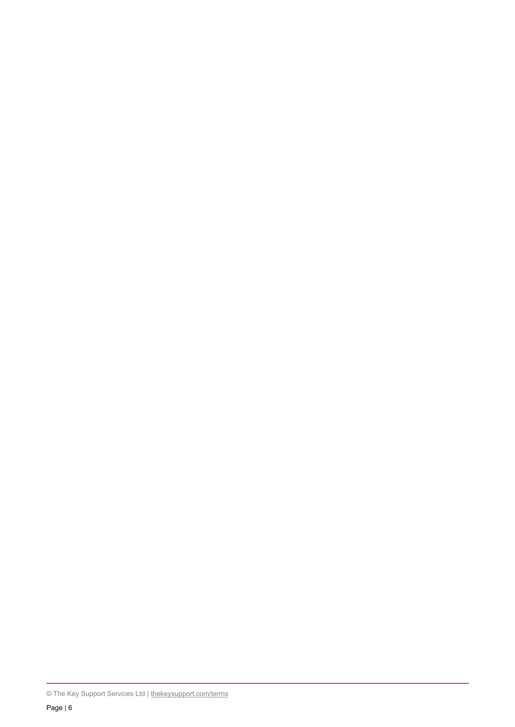<sup>©</sup> The Key Support Services Ltd | [thekeysupport.com/terms](https://thekeysupport.com/terms-of-use)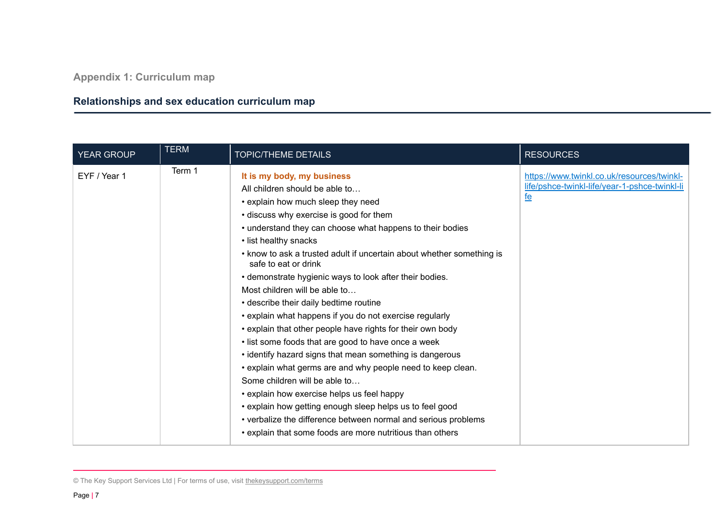**Appendix 1: Curriculum map**

## **Relationships and sex education curriculum map**

<span id="page-6-0"></span>

| YEAR GROUP   | <b>TERM</b> | TOPIC/THEME DETAILS                                                                                                                                                                                                                                                                                                                                                                                                                                                                                                                                                                                                                                                                                                                                                                                                                                                                                                                                                                                                                                             | <b>RESOURCES</b>                                                                                  |
|--------------|-------------|-----------------------------------------------------------------------------------------------------------------------------------------------------------------------------------------------------------------------------------------------------------------------------------------------------------------------------------------------------------------------------------------------------------------------------------------------------------------------------------------------------------------------------------------------------------------------------------------------------------------------------------------------------------------------------------------------------------------------------------------------------------------------------------------------------------------------------------------------------------------------------------------------------------------------------------------------------------------------------------------------------------------------------------------------------------------|---------------------------------------------------------------------------------------------------|
| EYF / Year 1 | Term 1      | It is my body, my business<br>All children should be able to<br>• explain how much sleep they need<br>• discuss why exercise is good for them<br>• understand they can choose what happens to their bodies<br>• list healthy snacks<br>• know to ask a trusted adult if uncertain about whether something is<br>safe to eat or drink<br>• demonstrate hygienic ways to look after their bodies.<br>Most children will be able to<br>• describe their daily bedtime routine<br>• explain what happens if you do not exercise regularly<br>• explain that other people have rights for their own body<br>. list some foods that are good to have once a week<br>• identify hazard signs that mean something is dangerous<br>• explain what germs are and why people need to keep clean.<br>Some children will be able to<br>• explain how exercise helps us feel happy<br>• explain how getting enough sleep helps us to feel good<br>• verbalize the difference between normal and serious problems<br>• explain that some foods are more nutritious than others | https://www.twinkl.co.uk/resources/twinkl-<br>life/pshce-twinkl-life/year-1-pshce-twinkl-li<br>fe |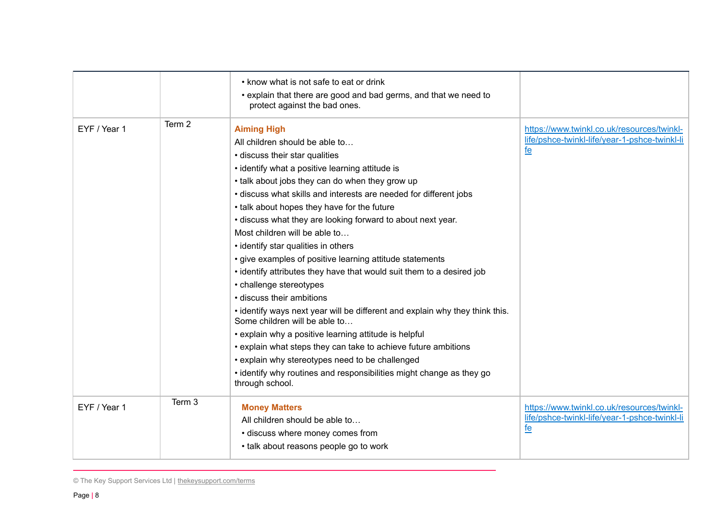|              |        | • know what is not safe to eat or drink<br>• explain that there are good and bad germs, and that we need to<br>protect against the bad ones.                                                                                                                                                                                                                                                                                                                                                                                                                                                                                                                                                                                                                                                                                                                                                                                                                                                                                                   |                                                                                                          |
|--------------|--------|------------------------------------------------------------------------------------------------------------------------------------------------------------------------------------------------------------------------------------------------------------------------------------------------------------------------------------------------------------------------------------------------------------------------------------------------------------------------------------------------------------------------------------------------------------------------------------------------------------------------------------------------------------------------------------------------------------------------------------------------------------------------------------------------------------------------------------------------------------------------------------------------------------------------------------------------------------------------------------------------------------------------------------------------|----------------------------------------------------------------------------------------------------------|
| EYF / Year 1 | Term 2 | <b>Aiming High</b><br>All children should be able to<br>• discuss their star qualities<br>• identify what a positive learning attitude is<br>• talk about jobs they can do when they grow up<br>• discuss what skills and interests are needed for different jobs<br>• talk about hopes they have for the future<br>• discuss what they are looking forward to about next year.<br>Most children will be able to<br>• identify star qualities in others<br>• give examples of positive learning attitude statements<br>• identify attributes they have that would suit them to a desired job<br>• challenge stereotypes<br>· discuss their ambitions<br>. identify ways next year will be different and explain why they think this.<br>Some children will be able to<br>• explain why a positive learning attitude is helpful<br>• explain what steps they can take to achieve future ambitions<br>• explain why stereotypes need to be challenged<br>• identify why routines and responsibilities might change as they go<br>through school. | https://www.twinkl.co.uk/resources/twinkl-<br>life/pshce-twinkl-life/year-1-pshce-twinkl-li<br><u>fe</u> |
| EYF / Year 1 | Term 3 | <b>Money Matters</b><br>All children should be able to<br>• discuss where money comes from<br>• talk about reasons people go to work                                                                                                                                                                                                                                                                                                                                                                                                                                                                                                                                                                                                                                                                                                                                                                                                                                                                                                           | https://www.twinkl.co.uk/resources/twinkl-<br>life/pshce-twinkl-life/year-1-pshce-twinkl-li<br><u>fe</u> |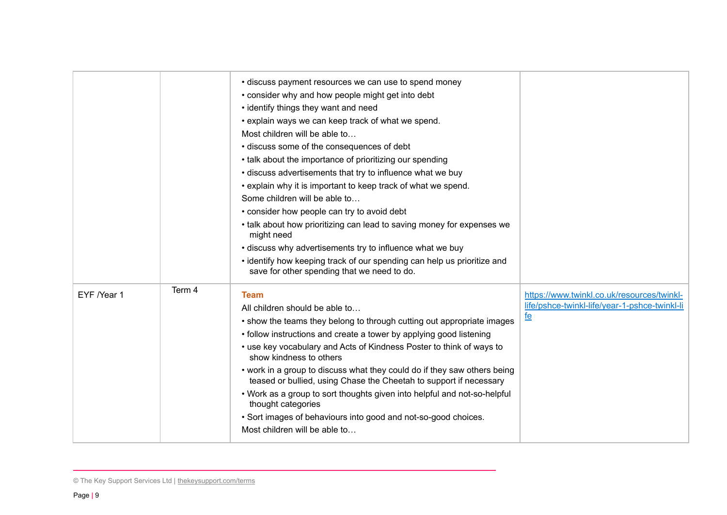|             |        | • discuss payment resources we can use to spend money<br>• consider why and how people might get into debt<br>• identify things they want and need<br>• explain ways we can keep track of what we spend.<br>Most children will be able to<br>• discuss some of the consequences of debt<br>• talk about the importance of prioritizing our spending<br>• discuss advertisements that try to influence what we buy<br>• explain why it is important to keep track of what we spend.<br>Some children will be able to<br>• consider how people can try to avoid debt<br>• talk about how prioritizing can lead to saving money for expenses we<br>might need<br>• discuss why advertisements try to influence what we buy<br>• identify how keeping track of our spending can help us prioritize and |                                                                                                          |
|-------------|--------|----------------------------------------------------------------------------------------------------------------------------------------------------------------------------------------------------------------------------------------------------------------------------------------------------------------------------------------------------------------------------------------------------------------------------------------------------------------------------------------------------------------------------------------------------------------------------------------------------------------------------------------------------------------------------------------------------------------------------------------------------------------------------------------------------|----------------------------------------------------------------------------------------------------------|
| EYF /Year 1 | Term 4 | save for other spending that we need to do.<br><b>Team</b><br>All children should be able to<br>• show the teams they belong to through cutting out appropriate images<br>• follow instructions and create a tower by applying good listening<br>• use key vocabulary and Acts of Kindness Poster to think of ways to<br>show kindness to others<br>• work in a group to discuss what they could do if they saw others being<br>teased or bullied, using Chase the Cheetah to support if necessary<br>. Work as a group to sort thoughts given into helpful and not-so-helpful<br>thought categories<br>. Sort images of behaviours into good and not-so-good choices.<br>Most children will be able to                                                                                            | https://www.twinkl.co.uk/resources/twinkl-<br>life/pshce-twinkl-life/year-1-pshce-twinkl-li<br><u>fe</u> |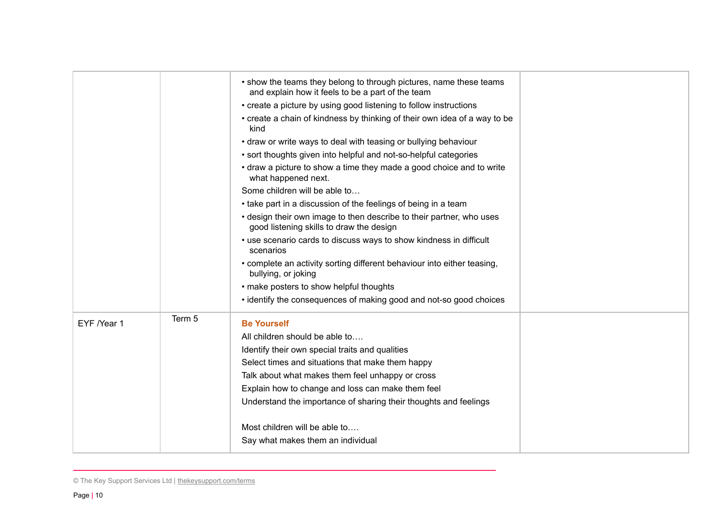|             |        | • show the teams they belong to through pictures, name these teams<br>and explain how it feels to be a part of the team |  |
|-------------|--------|-------------------------------------------------------------------------------------------------------------------------|--|
|             |        | • create a picture by using good listening to follow instructions                                                       |  |
|             |        | • create a chain of kindness by thinking of their own idea of a way to be<br>kind                                       |  |
|             |        | • draw or write ways to deal with teasing or bullying behaviour                                                         |  |
|             |        | • sort thoughts given into helpful and not-so-helpful categories                                                        |  |
|             |        | • draw a picture to show a time they made a good choice and to write<br>what happened next.                             |  |
|             |        | Some children will be able to                                                                                           |  |
|             |        | • take part in a discussion of the feelings of being in a team                                                          |  |
|             |        | • design their own image to then describe to their partner, who uses<br>good listening skills to draw the design        |  |
|             |        | • use scenario cards to discuss ways to show kindness in difficult<br>scenarios                                         |  |
|             |        | • complete an activity sorting different behaviour into either teasing,<br>bullying, or joking                          |  |
|             |        | • make posters to show helpful thoughts                                                                                 |  |
|             |        | • identify the consequences of making good and not-so good choices                                                      |  |
| EYF /Year 1 | Term 5 | <b>Be Yourself</b>                                                                                                      |  |
|             |        | All children should be able to                                                                                          |  |
|             |        | Identify their own special traits and qualities                                                                         |  |
|             |        | Select times and situations that make them happy                                                                        |  |
|             |        | Talk about what makes them feel unhappy or cross                                                                        |  |
|             |        | Explain how to change and loss can make them feel                                                                       |  |
|             |        | Understand the importance of sharing their thoughts and feelings                                                        |  |
|             |        | Most children will be able to                                                                                           |  |
|             |        | Say what makes them an individual                                                                                       |  |
|             |        |                                                                                                                         |  |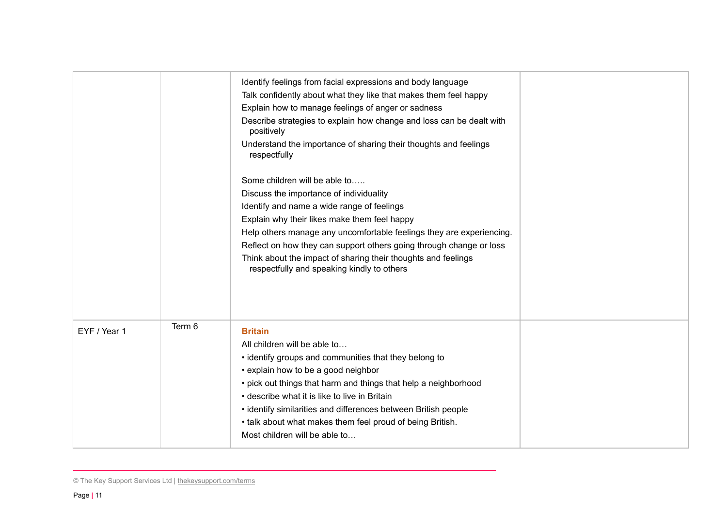|              |        | Identify feelings from facial expressions and body language                                                 |  |
|--------------|--------|-------------------------------------------------------------------------------------------------------------|--|
|              |        | Talk confidently about what they like that makes them feel happy                                            |  |
|              |        | Explain how to manage feelings of anger or sadness                                                          |  |
|              |        | Describe strategies to explain how change and loss can be dealt with<br>positively                          |  |
|              |        | Understand the importance of sharing their thoughts and feelings<br>respectfully                            |  |
|              |        | Some children will be able to                                                                               |  |
|              |        | Discuss the importance of individuality                                                                     |  |
|              |        | Identify and name a wide range of feelings                                                                  |  |
|              |        | Explain why their likes make them feel happy                                                                |  |
|              |        | Help others manage any uncomfortable feelings they are experiencing.                                        |  |
|              |        | Reflect on how they can support others going through change or loss                                         |  |
|              |        | Think about the impact of sharing their thoughts and feelings<br>respectfully and speaking kindly to others |  |
|              |        |                                                                                                             |  |
| EYF / Year 1 | Term 6 | <b>Britain</b>                                                                                              |  |
|              |        | All children will be able to                                                                                |  |
|              |        | • identify groups and communities that they belong to                                                       |  |
|              |        | • explain how to be a good neighbor                                                                         |  |
|              |        | • pick out things that harm and things that help a neighborhood                                             |  |
|              |        | • describe what it is like to live in Britain                                                               |  |
|              |        | • identify similarities and differences between British people                                              |  |
|              |        | • talk about what makes them feel proud of being British.                                                   |  |
|              |        | Most children will be able to                                                                               |  |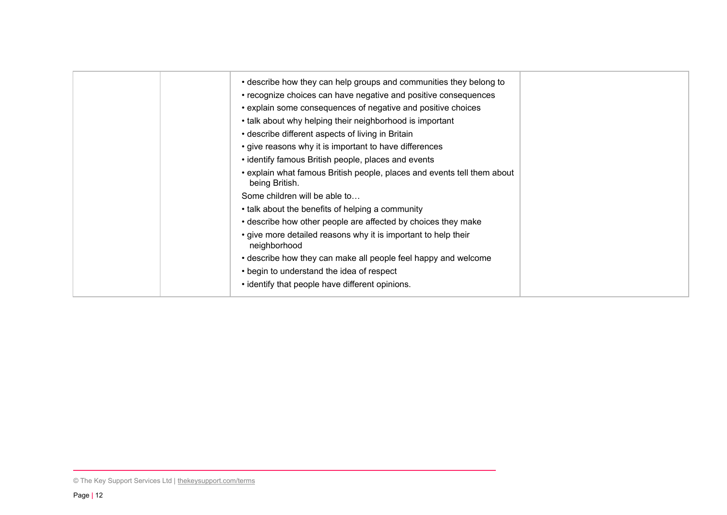| • describe how they can help groups and communities they belong to                        |
|-------------------------------------------------------------------------------------------|
| • recognize choices can have negative and positive consequences                           |
| • explain some consequences of negative and positive choices                              |
| • talk about why helping their neighborhood is important                                  |
| • describe different aspects of living in Britain                                         |
| • give reasons why it is important to have differences                                    |
| • identify famous British people, places and events                                       |
| • explain what famous British people, places and events tell them about<br>being British. |
| Some children will be able to                                                             |
| • talk about the benefits of helping a community                                          |
| • describe how other people are affected by choices they make                             |
| • give more detailed reasons why it is important to help their<br>neighborhood            |
| • describe how they can make all people feel happy and welcome                            |
| • begin to understand the idea of respect                                                 |
| • identify that people have different opinions.                                           |
|                                                                                           |

<span id="page-11-0"></span><sup>©</sup> The Key Support Services Ltd | [thekeysupport.com/terms](https://thekeysupport.com/terms-of-use)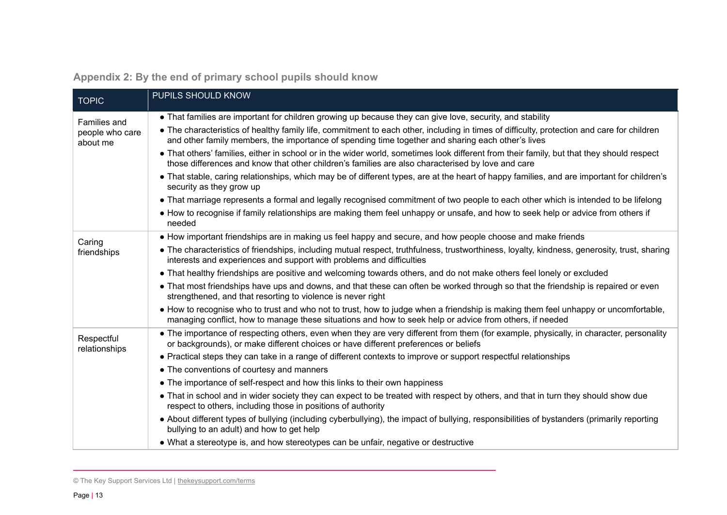| <b>TOPIC</b>                | PUPILS SHOULD KNOW                                                                                                                                                                                                                              |
|-----------------------------|-------------------------------------------------------------------------------------------------------------------------------------------------------------------------------------------------------------------------------------------------|
| Families and                | • That families are important for children growing up because they can give love, security, and stability                                                                                                                                       |
| people who care<br>about me | • The characteristics of healthy family life, commitment to each other, including in times of difficulty, protection and care for children<br>and other family members, the importance of spending time together and sharing each other's lives |
|                             | • That others' families, either in school or in the wider world, sometimes look different from their family, but that they should respect<br>those differences and know that other children's families are also characterised by love and care  |
|                             | • That stable, caring relationships, which may be of different types, are at the heart of happy families, and are important for children's<br>security as they grow up                                                                          |
|                             | • That marriage represents a formal and legally recognised commitment of two people to each other which is intended to be lifelong                                                                                                              |
|                             | • How to recognise if family relationships are making them feel unhappy or unsafe, and how to seek help or advice from others if<br>needed                                                                                                      |
| Caring                      | • How important friendships are in making us feel happy and secure, and how people choose and make friends                                                                                                                                      |
| friendships                 | • The characteristics of friendships, including mutual respect, truthfulness, trustworthiness, loyalty, kindness, generosity, trust, sharing<br>interests and experiences and support with problems and difficulties                            |
|                             | • That healthy friendships are positive and welcoming towards others, and do not make others feel lonely or excluded                                                                                                                            |
|                             | • That most friendships have ups and downs, and that these can often be worked through so that the friendship is repaired or even<br>strengthened, and that resorting to violence is never right                                                |
|                             | • How to recognise who to trust and who not to trust, how to judge when a friendship is making them feel unhappy or uncomfortable,<br>managing conflict, how to manage these situations and how to seek help or advice from others, if needed   |
| Respectful<br>relationships | • The importance of respecting others, even when they are very different from them (for example, physically, in character, personality<br>or backgrounds), or make different choices or have different preferences or beliefs                   |
|                             | • Practical steps they can take in a range of different contexts to improve or support respectful relationships                                                                                                                                 |
|                             | • The conventions of courtesy and manners                                                                                                                                                                                                       |
|                             | • The importance of self-respect and how this links to their own happiness                                                                                                                                                                      |
|                             | • That in school and in wider society they can expect to be treated with respect by others, and that in turn they should show due<br>respect to others, including those in positions of authority                                               |
|                             | • About different types of bullying (including cyberbullying), the impact of bullying, responsibilities of bystanders (primarily reporting<br>bullying to an adult) and how to get help                                                         |
|                             | • What a stereotype is, and how stereotypes can be unfair, negative or destructive                                                                                                                                                              |

# **Appendix 2: By the end of primary school pupils should know**

<sup>©</sup> The Key Support Services Ltd | [thekeysupport.com/terms](https://thekeysupport.com/terms-of-use)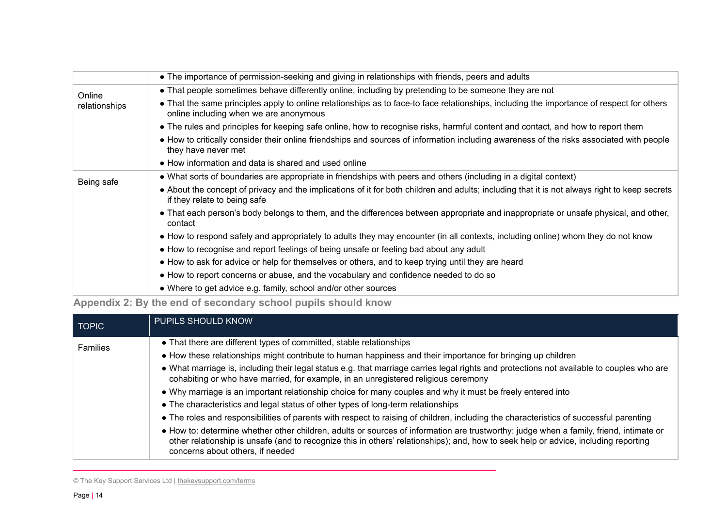|                         | • The importance of permission-seeking and giving in relationships with friends, peers and adults                                                                                   |
|-------------------------|-------------------------------------------------------------------------------------------------------------------------------------------------------------------------------------|
| Online<br>relationships | • That people sometimes behave differently online, including by pretending to be someone they are not                                                                               |
|                         | • That the same principles apply to online relationships as to face-to face relationships, including the importance of respect for others<br>online including when we are anonymous |
|                         | • The rules and principles for keeping safe online, how to recognise risks, harmful content and contact, and how to report them                                                     |
|                         | • How to critically consider their online friendships and sources of information including awareness of the risks associated with people<br>they have never met                     |
|                         | • How information and data is shared and used online                                                                                                                                |
| Being safe              | • What sorts of boundaries are appropriate in friendships with peers and others (including in a digital context)                                                                    |
|                         | • About the concept of privacy and the implications of it for both children and adults; including that it is not always right to keep secrets<br>if they relate to being safe       |
|                         | • That each person's body belongs to them, and the differences between appropriate and inappropriate or unsafe physical, and other,<br>contact                                      |
|                         | • How to respond safely and appropriately to adults they may encounter (in all contexts, including online) whom they do not know                                                    |
|                         | • How to recognise and report feelings of being unsafe or feeling bad about any adult                                                                                               |
|                         | • How to ask for advice or help for themselves or others, and to keep trying until they are heard                                                                                   |
|                         | • How to report concerns or abuse, and the vocabulary and confidence needed to do so                                                                                                |
|                         | • Where to get advice e.g. family, school and/or other sources                                                                                                                      |

**Appendix 2: By the end of secondary school pupils should know**

<span id="page-13-0"></span>

| <b>TOPIC</b>    | PUPILS SHOULD KNOW                                                                                                                                                                                                                                                                                                |
|-----------------|-------------------------------------------------------------------------------------------------------------------------------------------------------------------------------------------------------------------------------------------------------------------------------------------------------------------|
| <b>Families</b> | • That there are different types of committed, stable relationships                                                                                                                                                                                                                                               |
|                 | • How these relationships might contribute to human happiness and their importance for bringing up children                                                                                                                                                                                                       |
|                 | • What marriage is, including their legal status e.g. that marriage carries legal rights and protections not available to couples who are<br>cohabiting or who have married, for example, in an unregistered religious ceremony                                                                                   |
|                 | • Why marriage is an important relationship choice for many couples and why it must be freely entered into                                                                                                                                                                                                        |
|                 | • The characteristics and legal status of other types of long-term relationships                                                                                                                                                                                                                                  |
|                 | • The roles and responsibilities of parents with respect to raising of children, including the characteristics of successful parenting                                                                                                                                                                            |
|                 | • How to: determine whether other children, adults or sources of information are trustworthy: judge when a family, friend, intimate or<br>other relationship is unsafe (and to recognize this in others' relationships); and, how to seek help or advice, including reporting<br>concerns about others, if needed |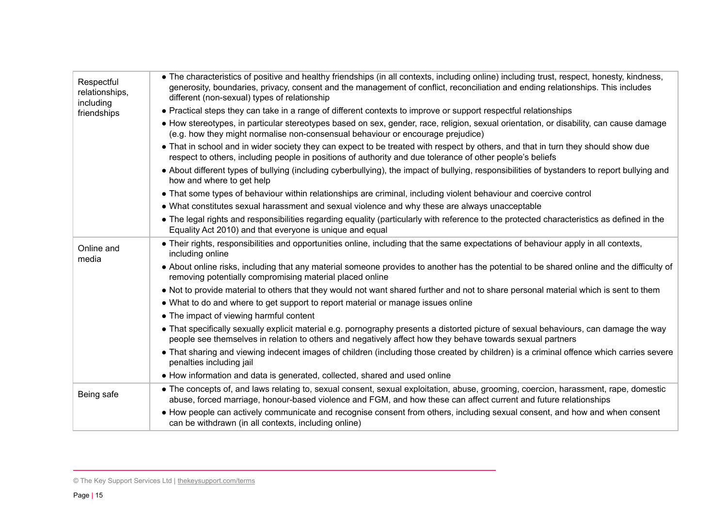| Respectful<br>relationships,<br>including | • The characteristics of positive and healthy friendships (in all contexts, including online) including trust, respect, honesty, kindness,<br>generosity, boundaries, privacy, consent and the management of conflict, reconciliation and ending relationships. This includes<br>different (non-sexual) types of relationship |
|-------------------------------------------|-------------------------------------------------------------------------------------------------------------------------------------------------------------------------------------------------------------------------------------------------------------------------------------------------------------------------------|
| friendships                               | • Practical steps they can take in a range of different contexts to improve or support respectful relationships                                                                                                                                                                                                               |
|                                           | • How stereotypes, in particular stereotypes based on sex, gender, race, religion, sexual orientation, or disability, can cause damage<br>(e.g. how they might normalise non-consensual behaviour or encourage prejudice)                                                                                                     |
|                                           | • That in school and in wider society they can expect to be treated with respect by others, and that in turn they should show due<br>respect to others, including people in positions of authority and due tolerance of other people's beliefs                                                                                |
|                                           | • About different types of bullying (including cyberbullying), the impact of bullying, responsibilities of bystanders to report bullying and<br>how and where to get help                                                                                                                                                     |
|                                           | • That some types of behaviour within relationships are criminal, including violent behaviour and coercive control                                                                                                                                                                                                            |
|                                           | • What constitutes sexual harassment and sexual violence and why these are always unacceptable                                                                                                                                                                                                                                |
|                                           | • The legal rights and responsibilities regarding equality (particularly with reference to the protected characteristics as defined in the<br>Equality Act 2010) and that everyone is unique and equal                                                                                                                        |
| Online and<br>media                       | • Their rights, responsibilities and opportunities online, including that the same expectations of behaviour apply in all contexts,<br>including online                                                                                                                                                                       |
|                                           | • About online risks, including that any material someone provides to another has the potential to be shared online and the difficulty of<br>removing potentially compromising material placed online                                                                                                                         |
|                                           | • Not to provide material to others that they would not want shared further and not to share personal material which is sent to them                                                                                                                                                                                          |
|                                           | • What to do and where to get support to report material or manage issues online                                                                                                                                                                                                                                              |
|                                           | • The impact of viewing harmful content                                                                                                                                                                                                                                                                                       |
|                                           | • That specifically sexually explicit material e.g. pornography presents a distorted picture of sexual behaviours, can damage the way<br>people see themselves in relation to others and negatively affect how they behave towards sexual partners                                                                            |
|                                           | • That sharing and viewing indecent images of children (including those created by children) is a criminal offence which carries severe<br>penalties including jail                                                                                                                                                           |
|                                           | • How information and data is generated, collected, shared and used online                                                                                                                                                                                                                                                    |
| Being safe                                | • The concepts of, and laws relating to, sexual consent, sexual exploitation, abuse, grooming, coercion, harassment, rape, domestic<br>abuse, forced marriage, honour-based violence and FGM, and how these can affect current and future relationships                                                                       |
|                                           | • How people can actively communicate and recognise consent from others, including sexual consent, and how and when consent<br>can be withdrawn (in all contexts, including online)                                                                                                                                           |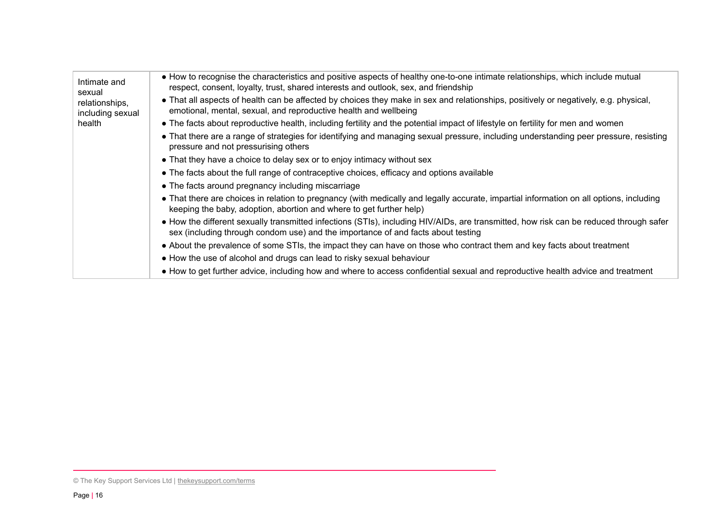| Intimate and<br>sexual<br>relationships,<br>including sexual<br>health | • How to recognise the characteristics and positive aspects of healthy one-to-one intimate relationships, which include mutual<br>respect, consent, loyalty, trust, shared interests and outlook, sex, and friendship      |
|------------------------------------------------------------------------|----------------------------------------------------------------------------------------------------------------------------------------------------------------------------------------------------------------------------|
|                                                                        | • That all aspects of health can be affected by choices they make in sex and relationships, positively or negatively, e.g. physical,<br>emotional, mental, sexual, and reproductive health and wellbeing                   |
|                                                                        | • The facts about reproductive health, including fertility and the potential impact of lifestyle on fertility for men and women                                                                                            |
|                                                                        | • That there are a range of strategies for identifying and managing sexual pressure, including understanding peer pressure, resisting<br>pressure and not pressurising others                                              |
|                                                                        | • That they have a choice to delay sex or to enjoy intimacy without sex                                                                                                                                                    |
|                                                                        | • The facts about the full range of contraceptive choices, efficacy and options available                                                                                                                                  |
|                                                                        | • The facts around pregnancy including miscarriage                                                                                                                                                                         |
|                                                                        | • That there are choices in relation to pregnancy (with medically and legally accurate, impartial information on all options, including<br>keeping the baby, adoption, abortion and where to get further help)             |
|                                                                        | • How the different sexually transmitted infections (STIs), including HIV/AIDs, are transmitted, how risk can be reduced through safer<br>sex (including through condom use) and the importance of and facts about testing |
|                                                                        | • About the prevalence of some STIs, the impact they can have on those who contract them and key facts about treatment                                                                                                     |
|                                                                        | • How the use of alcohol and drugs can lead to risky sexual behaviour                                                                                                                                                      |
|                                                                        | • How to get further advice, including how and where to access confidential sexual and reproductive health advice and treatment                                                                                            |

<sup>©</sup> The Key Support Services Ltd | [thekeysupport.com/terms](https://thekeysupport.com/terms-of-use)